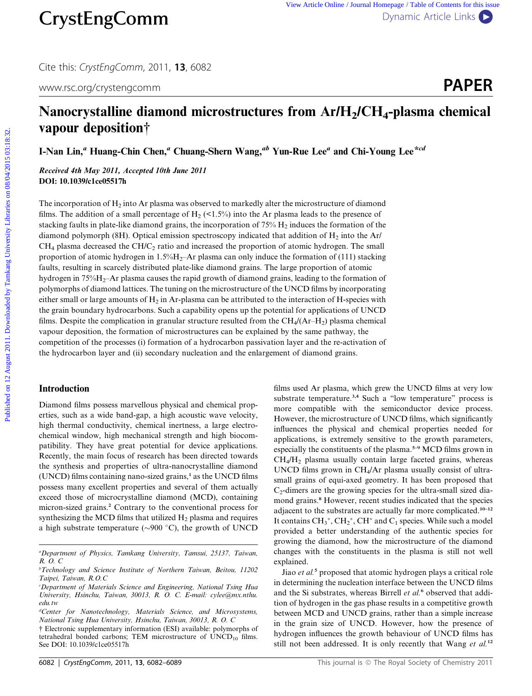Cite this: CrystEngComm, 2011, <sup>13</sup>, 6082

www.rsc.org/crystengcomm **PAPER** 

# Nanocrystalline diamond microstructures from  $Ar/H<sub>2</sub>/CH<sub>4</sub>$ -plasma chemical vapour deposition†

I-Nan Lin,<sup>a</sup> Huang-Chin Chen,<sup>a</sup> Chuang-Shern Wang,<sup>ab</sup> Yun-Rue Lee<sup>a</sup> and Chi-Young Lee<sup>\*cd</sup>

Received 4th May 2011, Accepted 10th June 2011 DOI: 10.1039/c1ce05517h

The incorporation of  $H_2$  into Ar plasma was observed to markedly alter the microstructure of diamond films. The addition of a small percentage of H<sub>2</sub> (<1.5%) into the Ar plasma leads to the presence of stacking faults in plate-like diamond grains, the incorporation of  $75\%$   $H_2$  induces the formation of the diamond polymorph (8H). Optical emission spectroscopy indicated that addition of  $H_2$  into the Ar/  $CH<sub>4</sub>$  plasma decreased the CH/C<sub>2</sub> ratio and increased the proportion of atomic hydrogen. The small proportion of atomic hydrogen in  $1.5\%$ H<sub>2</sub>–Ar plasma can only induce the formation of (111) stacking faults, resulting in scarcely distributed plate-like diamond grains. The large proportion of atomic hydrogen in 75%H<sub>2</sub>–Ar plasma causes the rapid growth of diamond grains, leading to the formation of polymorphs of diamond lattices. The tuning on the microstructure of the UNCD films by incorporating either small or large amounts of  $H_2$  in Ar-plasma can be attributed to the interaction of H-species with the grain boundary hydrocarbons. Such a capability opens up the potential for applications of UNCD films. Despite the complication in granular structure resulted from the  $CH_4/(Ar-H_2)$  plasma chemical vapour deposition, the formation of microstructures can be explained by the same pathway, the competition of the processes (i) formation of a hydrocarbon passivation layer and the re-activation of the hydrocarbon layer and (ii) secondary nucleation and the enlargement of diamond grains. **CrystEngComm**<br>
Cire tris. CosterogComm 2011. 13.6062<br>
Were Article University Constrained By the Content of Content Constrained By Tame Library 2011. All and the Content Constrained By Tame Library 2011. Recorded the Jou

# Introduction

Diamond films possess marvellous physical and chemical properties, such as a wide band-gap, a high acoustic wave velocity, high thermal conductivity, chemical inertness, a large electrochemical window, high mechanical strength and high biocompatibility. They have great potential for device applications. Recently, the main focus of research has been directed towards the synthesis and properties of ultra-nanocrystalline diamond  $(UNCD)$  films containing nano-sized grains, $<sup>1</sup>$  as the UNCD films</sup> possess many excellent properties and several of them actually exceed those of microcrystalline diamond (MCD), containing micron-sized grains.<sup>2</sup> Contrary to the conventional process for synthesizing the MCD films that utilized  $H_2$  plasma and requires a high substrate temperature ( $\sim$ 900 °C), the growth of UNCD

† Electronic supplementary information (ESI) available: polymorphs of tetrahedral bonded carbons; TEM microstructure of  $UNCD_{10}$  films. See DOI: 10.1039/c1ce05517h

films used Ar plasma, which grew the UNCD films at very low substrate temperature.<sup>3,4</sup> Such a "low temperature" process is more compatible with the semiconductor device process. However, the microstructure of UNCD films, which significantly influences the physical and chemical properties needed for applications, is extremely sensitive to the growth parameters, especially the constituents of the plasma.<sup>5-9</sup> MCD films grown in  $CH<sub>4</sub>/H<sub>2</sub>$  plasma usually contain large faceted grains, whereas UNCD films grown in CH4/Ar plasma usually consist of ultrasmall grains of equi-axed geometry. It has been proposed that  $C_2$ -dimers are the growing species for the ultra-small sized diamond grains.<sup>8</sup> However, recent studies indicated that the species adjacent to the substrates are actually far more complicated.10–12 It contains  $CH_3^+$ ,  $CH_2^+$ ,  $CH^+$  and  $C_1$  species. While such a model provided a better understanding of the authentic species for growing the diamond, how the microstructure of the diamond changes with the constituents in the plasma is still not well explained.

Jiao *et al.*<sup>5</sup> proposed that atomic hydrogen plays a critical role in determining the nucleation interface between the UNCD films and the Si substrates, whereas Birrell et al.<sup>6</sup> observed that addition of hydrogen in the gas phase results in a competitive growth between MCD and UNCD grains, rather than a simple increase in the grain size of UNCD. However, how the presence of hydrogen influences the growth behaviour of UNCD films has still not been addressed. It is only recently that Wang et  $al$ .<sup>12</sup>

a Department of Physics, Tamkang University, Tamsui, 25137, Taiwan, R. O. C

b Technology and Science Institute of Northern Taiwan, Beitou, 11202 Taipei, Taiwan, R.O.C

<sup>&</sup>lt;sup>c</sup>Department of Materials Science and Engineering, National Tsing Hua University, Hsinchu, Taiwan, 30013, R. O. C. E-mail: cylee@mx.nthu. edu.tw

<sup>&</sup>lt;sup>d</sup>Center for Nanotechnology, Materials Science, and Microsystems, National Tsing Hua University, Hsinchu, Taiwan, 30013, R. O. C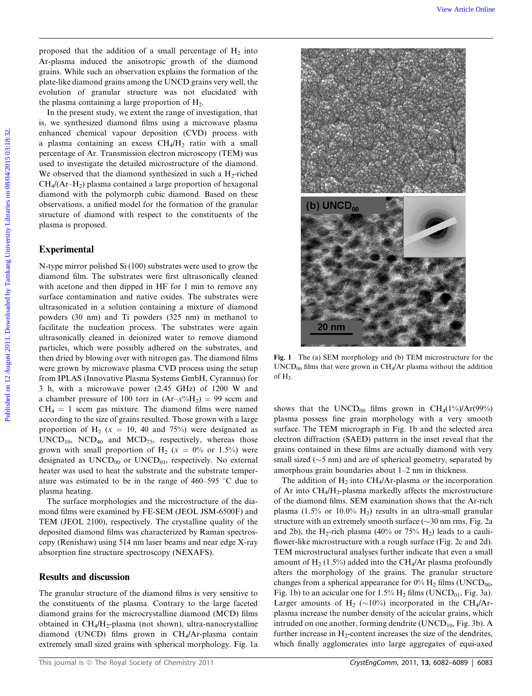proposed that the addition of a small percentage of  $H_2$  into Ar-plasma induced the anisotropic growth of the diamond grains. While such an observation explains the formation of the plate-like diamond grains among the UNCD grains very well, the evolution of granular structure was not elucidated with the plasma containing a large proportion of  $H<sub>2</sub>$ .

In the present study, we extent the range of investigation, that is, we synthesized diamond films using a microwave plasma enhanced chemical vapour deposition (CVD) process with a plasma containing an excess  $CH<sub>4</sub>/H<sub>2</sub>$  ratio with a small percentage of Ar. Transmission electron microscopy (TEM) was used to investigate the detailed microstructure of the diamond. We observed that the diamond synthesized in such a  $H_2$ -riched  $CH<sub>4</sub>$ /(Ar–H<sub>2</sub>) plasma contained a large proportion of hexagonal diamond with the polymorph cubic diamond. Based on these observations, a unified model for the formation of the granular structure of diamond with respect to the constituents of the plasma is proposed.

#### Experimental

N-type mirror polished Si (100) substrates were used to grow the diamond film. The substrates were first ultrasonically cleaned with acetone and then dipped in HF for 1 min to remove any surface contamination and native oxides. The substrates were ultrasonicated in a solution containing a mixture of diamond powders (30 nm) and Ti powders (325 nm) in methanol to facilitate the nucleation process. The substrates were again ultrasonically cleaned in deionized water to remove diamond particles, which were possibly adhered on the substrates, and then dried by blowing over with nitrogen gas. The diamond films were grown by microwave plasma CVD process using the setup from IPLAS (Innovative Plasma Systems GmbH, Cyrannus) for 3 h, with a microwave power (2.45 GHz) of 1200 W and a chamber pressure of 100 torr in  $(Ar-x^{\alpha}/_{0}H_{2}) = 99$  sccm and  $CH_4 = 1$  sccm gas mixture. The diamond films were named according to the size of grains resulted. Those grown with a large proportion of H<sub>2</sub> ( $x = 10$ , 40 and 75%) were designated as  $\text{UNCD}_{10}$ ,  $\text{NCD}_{40}$  and  $\text{MCD}_{75}$ , respectively, whereas those grown with small proportion of  $H_2$  ( $x = 0\%$  or 1.5%) were designated as  $UNCD_{00}$  or  $UNCD_{01}$ , respectively. No external heater was used to heat the substrate and the substrate temperature was estimated to be in the range of  $460-595$  °C due to plasma heating.

The surface morphologies and the microstructure of the diamond films were examined by FE-SEM (JEOL JSM-6500F) and TEM (JEOL 2100), respectively. The crystalline quality of the deposited diamond films was characterized by Raman spectroscopy (Renishaw) using 514 nm laser beams and near edge X-ray absorption fine structure spectroscopy (NEXAFS).

#### Results and discussion

The granular structure of the diamond films is very sensitive to the constituents of the plasma. Contrary to the large faceted diamond grains for the microcrystalline diamond (MCD) films obtained in  $CH_4/H_2$ -plasma (not shown), ultra-nanocrystalline diamond (UNCD) films grown in CH4/Ar-plasma contain extremely small sized grains with spherical morphology. Fig. 1a



Fig. 1 The (a) SEM morphology and (b) TEM microstructure for the  $\text{UNCD}_{00}$  films that were grown in CH<sub>4</sub>/Ar plasma without the addition of  $H_2$ .

shows that the UNCD<sub>00</sub> films grown in CH<sub>4</sub>(1%)/Ar(99%) plasma possess fine grain morphology with a very smooth surface. The TEM micrograph in Fig. 1b and the selected area electron diffraction (SAED) pattern in the inset reveal that the grains contained in these films are actually diamond with very small sized ( $\sim$ 5 nm) and are of spherical geometry, separated by amorphous grain boundaries about 1–2 nm in thickness.

The addition of  $H_2$  into CH<sub>4</sub>/Ar-plasma or the incorporation of Ar into  $CH_4/H_2$ -plasma markedly affects the microstructure of the diamond films. SEM examination shows that the Ar-rich plasma (1.5% or 10.0%  $H_2$ ) results in an ultra-small granular structure with an extremely smooth surface  $(\sim 30 \text{ nm} \text{ rms}, \text{Fig. 2a})$ and 2b), the H<sub>2</sub>-rich plasma (40% or 75% H<sub>2</sub>) leads to a cauliflower-like microstructure with a rough surface (Fig. 2c and 2d). TEM microstructural analyses further indicate that even a small amount of  $H_2$  (1.5%) added into the CH<sub>4</sub>/Ar plasma profoundly alters the morphology of the grains. The granular structure changes from a spherical appearance for  $0\%$  H<sub>2</sub> films (UNCD<sub>00</sub>, Fig. 1b) to an acicular one for  $1.5\%$  H<sub>2</sub> films (UNCD<sub>01</sub>, Fig. 3a). Larger amounts of H<sub>2</sub> ( $\sim$ 10%) incorporated in the CH<sub>4</sub>/Arplasma increase the number density of the acicular grains, which intruded on one another, forming dendrite  $(UNCD<sub>10</sub>, Fig. 3b)$ . A further increase in  $H_2$ -content increases the size of the dendrites, which finally agglomerates into large aggregates of equi-axed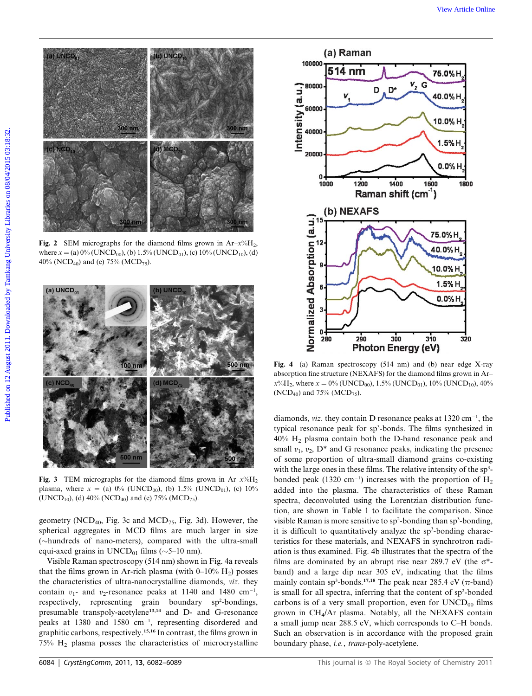

Fig. 2 SEM micrographs for the diamond films grown in  $Ar-x\%H_2$ , where  $x = (a) 0\%$  (UNCD<sub>00</sub>), (b) 1.5% (UNCD<sub>01</sub>), (c) 10% (UNCD<sub>10</sub>), (d) 40% (NCD<sub>40</sub>) and (e) 75% (MCD<sub>75</sub>).



Fig. 3 TEM micrographs for the diamond films grown in  $Ar-x^0/H_2$ plasma, where  $x = (a) 0\%$  (UNCD<sub>00</sub>), (b) 1.5% (UNCD<sub>01</sub>), (c) 10% (UNCD<sub>10</sub>), (d) 40% (NCD<sub>40</sub>) and (e) 75% (MCD<sub>75</sub>).

geometry (NCD<sub>40</sub>, Fig. 3c and MCD<sub>75</sub>, Fig. 3d). However, the spherical aggregates in MCD films are much larger in size (hundreds of nano-meters), compared with the ultra-small equi-axed grains in  $UNCD_{01}$  films ( $\sim$ 5–10 nm).

Visible Raman spectroscopy (514 nm) shown in Fig. 4a reveals that the films grown in Ar-rich plasma (with  $0-10\%$  H<sub>2</sub>) posses the characteristics of ultra-nanocrystalline diamonds, viz. they contain  $v_1$ - and  $v_2$ -resonance peaks at 1140 and 1480 cm<sup>-1</sup>,<br>respectively representing grain boundary and poolings respectively, representing grain boundary sp<sup>2</sup>-bondings, presumable transpoly-acetylene13,14 and D- and G-resonance peaks at  $1380$  and  $1580$  cm<sup>-1</sup>, representing disordered and graphitic carbons, respectively.15,16 In contrast, the films grown in 75% H2 plasma posses the characteristics of microcrystalline



Fig. 4 (a) Raman spectroscopy (514 nm) and (b) near edge X-ray absorption fine structure (NEXAFS) for the diamond films grown in Ar–  $x\%$ H<sub>2</sub>, where  $x = 0\%$  (UNCD<sub>00</sub>), 1.5% (UNCD<sub>01</sub>), 10% (UNCD<sub>10</sub>), 40% (NCD<sub>40</sub>) and 75% (MCD<sub>75</sub>).

diamonds, *viz*. they contain D resonance peaks at  $1320 \text{ cm}^{-1}$ , the typical resonance peak for sp<sup>3</sup>-bonds. The films synthesized in 40% H2 plasma contain both the D-band resonance peak and small  $v_1$ ,  $v_2$ ,  $D^*$  and G resonance peaks, indicating the presence of some proportion of ultra-small diamond grains co-existing with the large ones in these films. The relative intensity of the  $sp<sup>3</sup>$ bonded peak (1320 cm<sup>-1</sup>) increases with the proportion of  $H_2$ added into the plasma. The characteristics of these Raman spectra, deconvoluted using the Lorentzian distribution function, are shown in Table 1 to facilitate the comparison. Since visible Raman is more sensitive to  $sp^2$ -bonding than  $sp^3$ -bonding, it is difficult to quantitatively analyze the  $sp<sup>3</sup>$ -bonding characteristics for these materials, and NEXAFS in synchrotron radiation is thus examined. Fig. 4b illustrates that the spectra of the films are dominated by an abrupt rise near 289.7 eV (the  $\sigma^*$ band) and a large dip near 305 eV, indicating that the films mainly contain sp<sup>3</sup>-bonds.<sup>17,18</sup> The peak near 285.4 eV ( $\pi$ -band) is small for all spectra, inferring that the content of sp<sup>2</sup>-bonded carbons is of a very small proportion, even for  $\text{UNCD}_{00}$  films grown in CH4/Ar plasma. Notably, all the NEXAFS contain a small jump near 288.5 eV, which corresponds to C–H bonds. Such an observation is in accordance with the proposed grain boundary phase, i.e., trans-poly-acetylene.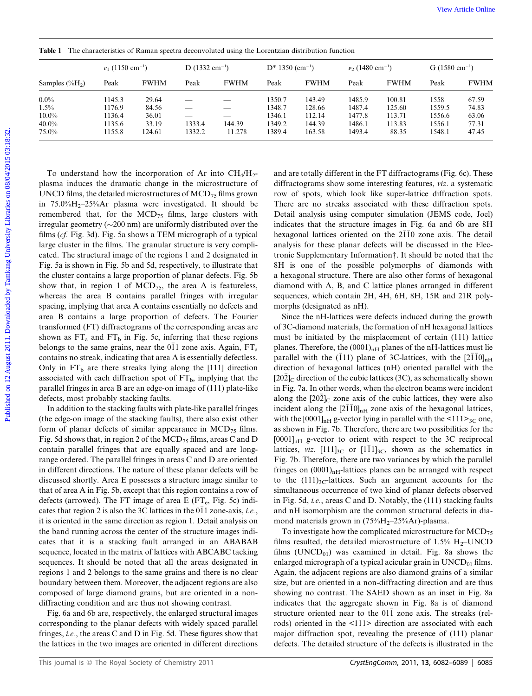| 0.0100100100100 |
|-----------------|
|                 |
|                 |
|                 |
|                 |
|                 |
|                 |
| <br> <br>       |
|                 |
| 0.222           |
|                 |
|                 |
|                 |
|                 |
|                 |
|                 |
|                 |

| Samples $(\%H_2)$ | $\nu_1$ (1150 cm <sup>-1</sup> ) |             | $D(1332 \text{ cm}^{-1})$ |             | $D*1350$ (cm <sup>-1</sup> ) |             | $v_2$ (1480 cm <sup>-1</sup> ) |             | G $(1580 \text{ cm}^{-1})$ |             |
|-------------------|----------------------------------|-------------|---------------------------|-------------|------------------------------|-------------|--------------------------------|-------------|----------------------------|-------------|
|                   | Peak                             | <b>FWHM</b> | Peak                      | <b>FWHM</b> | Peak                         | <b>FWHM</b> | Peak                           | <b>FWHM</b> | Peak                       | <b>FWHM</b> |
| $0.0\%$           | 1145.3                           | 29.64       |                           |             | 1350.7                       | 143.49      | 1485.9                         | 100.81      | 1558                       | 67.59       |
| 1.5%              | 1176.9                           | 84.56       |                           |             | 1348.7                       | 128.66      | 1487.4                         | 125.60      | 1559.5                     | 74.83       |
| $10.0\%$          | 1136.4                           | 36.01       | __                        | _           | 1346.1                       | 112.14      | 1477.8                         | 113.71      | 1556.6                     | 63.06       |
| $40.0\%$          | 1135.6                           | 33.19       | 1333.4                    | 144.39      | 1349.2                       | 144.39      | 1486.1                         | 113.83      | 1556.1                     | 77.31       |
| $75.0\%$          | 1155.8                           | 124.61      | 1332.2                    | 11.278      | 1389.4                       | 163.58      | 1493.4                         | 88.35       | 1548.1                     | 47.45       |

Table 1 The characteristics of Raman spectra deconvoluted using the Lorentzian distribution function

To understand how the incorporation of Ar into  $CH_4/H_2$ plasma induces the dramatic change in the microstructure of UNCD films, the detailed microstructures of  $\text{MCD}_{75}$  films grown in  $75.0\%$ H<sub>2</sub>-25%Ar plasma were investigated. It should be remembered that, for the  $MCD_{75}$  films, large clusters with irregular geometry ( $\sim$ 200 nm) are uniformly distributed over the films (cf. Fig. 3d). Fig. 5a shows a TEM micrograph of a typical large cluster in the films. The granular structure is very complicated. The structural image of the regions 1 and 2 designated in Fig. 5a is shown in Fig. 5b and 5d, respectively, to illustrate that the cluster contains a large proportion of planar defects. Fig. 5b show that, in region 1 of  $MCD_{75}$ , the area A is featureless, whereas the area B contains parallel fringes with irregular spacing, implying that area A contains essentially no defects and area B contains a large proportion of defects. The Fourier transformed (FT) diffractograms of the corresponding areas are shown as  $FT_a$  and  $FT_b$  in Fig. 5c, inferring that these regions belongs to the same grains, near the  $0\overline{1}1$  zone axis. Again,  $FT_a$ contains no streak, indicating that area A is essentially defectless. Only in  $FT_b$  are there streaks lying along the [111] direction associated with each diffraction spot of  $FT<sub>b</sub>$ , implying that the parallel fringes in area B are an edge-on image of (111) plate-like defects, most probably stacking faults. Finale 1 The characteristic of Karaca agent decreasion<br>
Sample (741) Downloaded by Tamkang Sel Teerwise distribution fraction<br>
Sample (741) Published and Tamkang University Libraries on 2013<br>
1930. This area of the same o

In addition to the stacking faults with plate-like parallel fringes (the edge-on image of the stacking faults), there also exist other form of planar defects of similar appearance in  $\text{MCD}_{75}$  films. Fig. 5d shows that, in region 2 of the  $MCD_{75}$  films, areas C and D contain parallel fringes that are equally spaced and are longrange ordered. The parallel fringes in areas C and D are oriented in different directions. The nature of these planar defects will be discussed shortly. Area E possesses a structure image similar to that of area A in Fig. 5b, except that this region contains a row of defects (arrowed). The FT image of area E ( $FT<sub>e</sub>$ , Fig. 5c) indicates that region 2 is also the 3C lattices in the  $0\overline{1}1$  zone-axis, *i.e.*, it is oriented in the same direction as region 1. Detail analysis on the band running across the center of the structure images indicates that it is a stacking fault arranged in an ABABAB sequence, located in the matrix of lattices with ABCABC tacking sequences. It should be noted that all the areas designated in regions 1 and 2 belongs to the same grains and there is no clear boundary between them. Moreover, the adjacent regions are also composed of large diamond grains, but are oriented in a nondiffracting condition and are thus not showing contrast.

Fig. 6a and 6b are, respectively, the enlarged structural images corresponding to the planar defects with widely spaced parallel fringes, i.e., the areas C and D in Fig. 5d. These figures show that the lattices in the two images are oriented in different directions and are totally different in the FT diffractograms (Fig. 6c). These diffractograms show some interesting features, viz. a systematic row of spots, which look like super-lattice diffraction spots. There are no streaks associated with these diffraction spots. Detail analysis using computer simulation (JEMS code, Joel) indicates that the structure images in Fig. 6a and 6b are 8H hexagonal lattices oriented on the  $2\overline{1}\overline{1}0$  zone axis. The detail analysis for these planar defects will be discussed in the Electronic Supplementary Information†. It should be noted that the 8H is one of the possible polymorphs of diamonds with a hexagonal structure. There are also other forms of hexagonal diamond with A, B, and C lattice planes arranged in different sequences, which contain 2H, 4H, 6H, 8H, 15R and 21R polymorphs (designated as nH).

Since the nH-lattices were defects induced during the growth of 3C-diamond materials, the formation of nH hexagonal lattices must be initiated by the misplacement of certain (111) lattice planes. Therefore, the  $(0001)_{nH}$  planes of the nH-lattices must lie parallel with the  $(111)$  plane of 3C-lattices, with the  $[2\overline{1}10]_{nH}$ direction of hexagonal lattices (nH) oriented parallel with the  $[20\overline{2}]_C$  direction of the cubic lattices (3C), as schematically shown in Fig. 7a. In other words, when the electron beams were incident along the  $[202]_C$  zone axis of the cubic lattices, they were also incident along the  $[2\overline{1}10]_{nH}$  zone axis of the hexagonal lattices, with the  $[0001]_{nH}$  g-vector lying in parallel with the  $\leq 111 \geq_{3C}$  one, as shown in Fig. 7b. Therefore, there are two possibilities for the  $[0001]_{nH}$  g-vector to orient with respect to the 3C reciprocal lattices, *viz.*  $[111]_{3C}$  or  $[111]_{3C}$ , shown as the schematics in Fig. 7b. Therefore, there are two variances by which the parallel fringes on  $(0001)_{nH}$ -lattices planes can be arranged with respect to the  $(111)_{3C}$ -lattices. Such an argument accounts for the simultaneous occurrence of two kind of planar defects observed in Fig. 5d, i.e., areas C and D. Notably, the (111) stacking faults and nH isomorphism are the common structural defects in diamond materials grown in  $(75\%H_2-25\%Ar)$ -plasma.

To investigate how the complicated microstructure for  $\text{MCD}_{75}$ films resulted, the detailed microstructure of 1.5%  $H_2$ –UNCD films  $(UNCD<sub>01</sub>)$  was examined in detail. Fig. 8a shows the enlarged micrograph of a typical acicular grain in  $\text{UNCD}_{01}$  films. Again, the adjacent regions are also diamond grains of a similar size, but are oriented in a non-diffracting direction and are thus showing no contrast. The SAED shown as an inset in Fig. 8a indicates that the aggregate shown in Fig. 8a is of diamond structure oriented near to the  $01\overline{1}$  zone axis. The streaks (relrods) oriented in the <111> direction are associated with each major diffraction spot, revealing the presence of (111) planar defects. The detailed structure of the defects is illustrated in the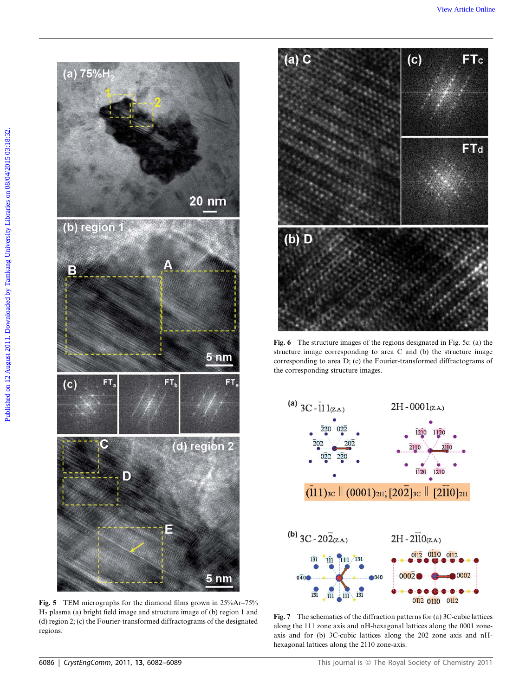(a)  $75\%$  Co. (b)  $\frac{1}{2}$  Co. (c) FTc Co. (c) FTc Co. (c) Co. (c) Co. (c) Co. (c) Co. (c) Co. (c)  $\frac{1}{2}$  Co. (c)  $\frac{1}{2}$  Co. (c)  $\frac{1}{2}$  Co. (c)  $\frac{1}{2}$  Co. (c)  $\frac{1}{2}$  Co. (c)  $\frac{1}{2}$  Co. (c)  $\frac{1}{2}$  Co (d) region 2  $\bullet$ D E 5<sub>nm</sub>

Fig. 5 TEM micrographs for the diamond films grown in 25%Ar–75% H2 plasma (a) bright field image and structure image of (b) region 1 and (d) region 2; (c) the Fourier-transformed diffractograms of the designated regions.



Fig. 6 The structure images of the regions designated in Fig. 5c: (a) the structure image corresponding to area C and (b) the structure image corresponding to area D; (c) the Fourier-transformed diffractograms of the corresponding structure images.



Fig. 7 The schematics of the diffraction patterns for (a) 3C-cubic lattices along the 111 zone axis and nH-hexagonal lattices along the 0001 zoneaxis and for (b) 3C-cubic lattices along the 202 zone axis and nHhexagonal lattices along the  $2\overline{1}\overline{1}0$  zone-axis.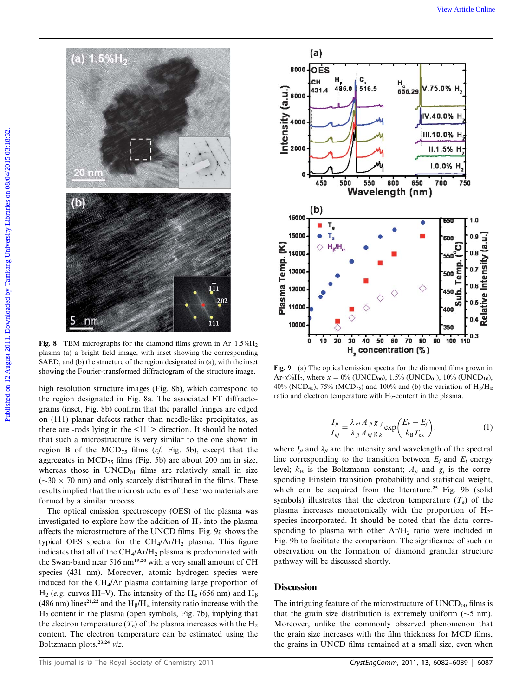

Fig. 8 TEM micrographs for the diamond films grown in  $Ar-1.5\%H_2$ plasma (a) a bright field image, with inset showing the corresponding SAED, and (b) the structure of the region designated in (a), with the inset showing the Fourier-transformed diffractogram of the structure image. Fig. 9 (a) The optical emission spectra for the diamond films grown in

high resolution structure images (Fig. 8b), which correspond to the region designated in Fig. 8a. The associated FT diffractograms (inset, Fig. 8b) confirm that the parallel fringes are edged on (111) planar defects rather than needle-like precipitates, as there are -rods lying in the <111> direction. It should be noted that such a microstructure is very similar to the one shown in region B of the  $MCD_{75}$  films (cf. Fig. 5b), except that the aggregates in  $MCD_{75}$  films (Fig. 5b) are about 200 nm in size, whereas those in  $UNCD_{01}$  films are relatively small in size  $({\sim}30 \times 70$  nm) and only scarcely distributed in the films. These results implied that the microstructures of these two materials are formed by a similar process.

The optical emission spectroscopy (OES) of the plasma was investigated to explore how the addition of  $H_2$  into the plasma affects the microstructure of the UNCD films. Fig. 9a shows the typical OES spectra for the  $CH_4/Ar/H_2$  plasma. This figure indicates that all of the  $CH_4/Ar/H_2$  plasma is predominated with the Swan-band near 516 nm<sup>19,20</sup> with a very small amount of CH species (431 nm). Moreover, atomic hydrogen species were induced for the CH4/Ar plasma containing large proportion of  $H_2$  (e.g. curves III–V). The intensity of the  $H_\alpha$  (656 nm) and  $H_\beta$ (486 nm) lines<sup>21,22</sup> and the H<sub>B</sub>/H<sub> $\alpha$ </sub> intensity ratio increase with the  $H<sub>2</sub>$  content in the plasma (open symbols, Fig. 7b), implying that the electron temperature  $(T_e)$  of the plasma increases with the H<sub>2</sub> content. The electron temperature can be estimated using the Boltzmann plots,<sup>23,24</sup> viz.



Ar- $x\%$ H<sub>2</sub>, where  $x = 0\%$  (UNCD<sub>00</sub>), 1.5% (UNCD<sub>01</sub>), 10% (UNCD<sub>10</sub>), 40% (NCD<sub>40</sub>), 75% (MCD<sub>75</sub>) and 100% and (b) the variation of  $H_\beta/H_\alpha$ ratio and electron temperature with  $H_2$ -content in the plasma.

$$
\frac{I_{ji}}{I_{kj}} = \frac{\lambda_{ki} A_{ji} g_j}{\lambda_{ji} A_{kj} g_k} \exp\left(\frac{E_k - E_j}{k_B T_{\text{ex}}}\right),\tag{1}
$$

where  $I_{ii}$  and  $\lambda_{ii}$  are the intensity and wavelength of the spectral line corresponding to the transition between  $E_i$  and  $E_i$  energy level;  $k_B$  is the Boltzmann constant;  $A_{ji}$  and  $g_i$  is the corresponding Einstein transition probability and statistical weight, which can be acquired from the literature.<sup>25</sup> Fig. 9b (solid symbols) illustrates that the electron temperature  $(T_e)$  of the plasma increases monotonically with the proportion of  $H_2$ species incorporated. It should be noted that the data corresponding to plasma with other  $Ar/H<sub>2</sub>$  ratio were included in Fig. 9b to facilitate the comparison. The significance of such an observation on the formation of diamond granular structure pathway will be discussed shortly.

## **Discussion**

The intriguing feature of the microstructure of  $\text{UNCD}_{00}$  films is that the grain size distribution is extremely uniform  $(\sim 5 \text{ nm})$ . Moreover, unlike the commonly observed phenomenon that the grain size increases with the film thickness for MCD films, the grains in UNCD films remained at a small size, even when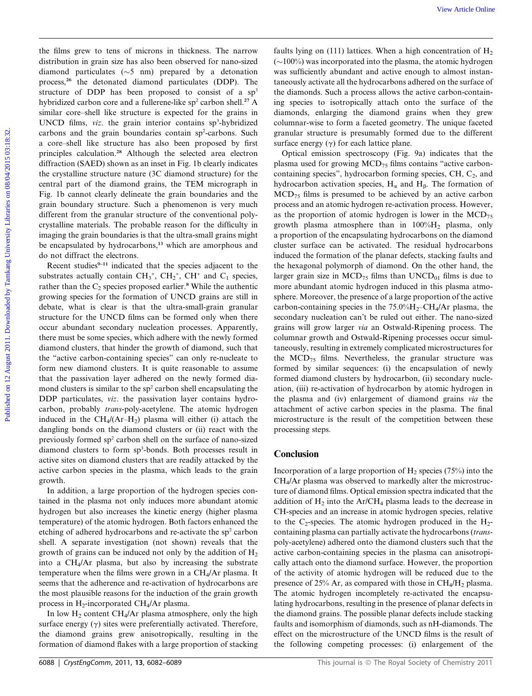the films grew to tens of microns in thickness. The narrow distribution in grain size has also been observed for nano-sized diamond particulates  $(\sim 5 \text{ nm})$  prepared by a detonation process,<sup>26</sup> the detonated diamond particulates (DDP). The structure of DDP has been proposed to consist of a  $sp<sup>3</sup>$ hybridized carbon core and a fullerene-like sp<sup>2</sup> carbon shell.<sup>27</sup> A similar core–shell like structure is expected for the grains in UNCD films, viz. the grain interior contains sp<sup>3</sup>-hybridized carbons and the grain boundaries contain sp<sup>2</sup>-carbons. Such a core–shell like structure has also been proposed by first principles calculation.<sup>28</sup> Although the selected area electron diffraction (SAED) shown as an inset in Fig. 1b clearly indicates the crystalline structure nature (3C diamond structure) for the central part of the diamond grains, the TEM micrograph in Fig. 1b cannot clearly delineate the grain boundaries and the grain boundary structure. Such a phenomenon is very much different from the granular structure of the conventional polycrystalline materials. The probable reason for the difficulty in imaging the grain boundaries is that the ultra-small grains might be encapsulated by hydrocarbons,<sup>13</sup> which are amorphous and do not diffract the electrons.

Recent studies<sup>9-11</sup> indicated that the species adjacent to the substrates actually contain  $CH_3^+$ ,  $CH_2^+$ ,  $CH^+$  and  $C_1$  species, rather than the  $C_2$  species proposed earlier.<sup>8</sup> While the authentic growing species for the formation of UNCD grains are still in debate, what is clear is that the ultra-small-grain granular structure for the UNCD films can be formed only when there occur abundant secondary nucleation processes. Apparently, there must be some species, which adhere with the newly formed diamond clusters, that hinder the growth of diamond, such that the ''active carbon-containing species'' can only re-nucleate to form new diamond clusters. It is quite reasonable to assume that the passivation layer adhered on the newly formed diamond clusters is similar to the  $sp<sup>2</sup>$  carbon shell encapsulating the DDP particulates, *viz*. the passivation layer contains hydrocarbon, probably trans-poly-acetylene. The atomic hydrogen induced in the  $CH_4/(Ar-H_2)$  plasma will either (i) attach the dangling bonds on the diamond clusters or (ii) react with the previously formed sp2 carbon shell on the surface of nano-sized diamond clusters to form sp3 -bonds. Both processes result in active sites on diamond clusters that are readily attacked by the active carbon species in the plasma, which leads to the grain growth.

In addition, a large proportion of the hydrogen species contained in the plasma not only induces more abundant atomic hydrogen but also increases the kinetic energy (higher plasma temperature) of the atomic hydrogen. Both factors enhanced the etching of adhered hydrocarbons and re-activate the  $sp<sup>2</sup>$  carbon shell. A separate investigation (not shown) reveals that the growth of grains can be induced not only by the addition of  $H_2$ into a CH4/Ar plasma, but also by increasing the substrate temperature when the films were grown in a CH4/Ar plasma. It seems that the adherence and re-activation of hydrocarbons are the most plausible reasons for the induction of the grain growth process in  $H_2$ -incorporated CH<sub>4</sub>/Ar plasma.

In low  $H_2$  content CH<sub>4</sub>/Ar plasma atmosphere, only the high surface energy  $(\gamma)$  sites were preferentially activated. Therefore, the diamond grains grew anisotropically, resulting in the formation of diamond flakes with a large proportion of stacking

faults lying on (111) lattices. When a high concentration of  $H_2$  $(\sim 100\%)$  was incorporated into the plasma, the atomic hydrogen was sufficiently abundant and active enough to almost instantaneously activate all the hydrocarbons adhered on the surface of the diamonds. Such a process allows the active carbon-containing species to isotropically attach onto the surface of the diamonds, enlarging the diamond grains when they grew columnar-wise to form a faceted geometry. The unique faceted granular structure is presumably formed due to the different surface energy  $(\gamma)$  for each lattice plane.

Optical emission spectroscopy (Fig. 9a) indicates that the plasma used for growing  $\text{MCD}_{75}$  films contains "active carboncontaining species", hydrocarbon forming species,  $CH$ ,  $C_2$ , and hydrocarbon activation species,  $H_{\alpha}$  and  $H_{\beta}$ . The formation of  $MCD_{75}$  films is presumed to be achieved by an active carbon process and an atomic hydrogen re-activation process. However, as the proportion of atomic hydrogen is lower in the  $\text{MCD}_{75}$ growth plasma atmosphere than in  $100\%$ H<sub>2</sub> plasma, only a proportion of the encapsulating hydrocarbons on the diamond cluster surface can be activated. The residual hydrocarbons induced the formation of the planar defects, stacking faults and the hexagonal polymorph of diamond. On the other hand, the larger grain size in  $\text{MCD}_{75}$  films than  $\text{UNCD}_{01}$  films is due to more abundant atomic hydrogen induced in this plasma atmosphere. Moreover, the presence of a large proportion of the active carbon-containing species in the  $75.0\%$ H<sub>2</sub>–CH<sub>4</sub>/Ar plasma, the secondary nucleation can't be ruled out either. The nano-sized grains will grow larger via an Ostwald-Ripening process. The columnar growth and Ostwald-Ripening processes occur simultaneously, resulting in extremely complicated microstructures for the  $\text{MCD}_{75}$  films. Nevertheless, the granular structure was formed by similar sequences: (i) the encapsulation of newly formed diamond clusters by hydrocarbon, (ii) secondary nucleation, (iii) re-activation of hydrocarbon by atomic hydrogen in the plasma and (iv) enlargement of diamond grains via the attachment of active carbon species in the plasma. The final microstructure is the result of the competition between these processing steps. We have the mean of microson in this<br>kans. The narrow fault bying on (111) hitties, when a high concentration of Highermore<br>In distribution in gradient by the distribution (2010)) the microsonic state is the plane<br>state o

#### **Conclusion**

Incorporation of a large proportion of  $H_2$  species (75%) into the CH4/Ar plasma was observed to markedly alter the microstructure of diamond films. Optical emission spectra indicated that the addition of  $H_2$  into the Ar/CH<sub>4</sub> plasma leads to the decrease in CH-species and an increase in atomic hydrogen species, relative to the C<sub>2</sub>-species. The atomic hydrogen produced in the  $H_2$ containing plasma can partially activate the hydrocarbons (transpoly-acetylene) adhered onto the diamond clusters such that the active carbon-containing species in the plasma can anisotropically attach onto the diamond surface. However, the proportion of the activity of atomic hydrogen will be reduced due to the presence of 25% Ar, as compared with those in  $CH_4/H_2$  plasma. The atomic hydrogen incompletely re-activated the encapsulating hydrocarbons, resulting in the presence of planar defects in the diamond grains. The possible planar defects include stacking faults and isomorphism of diamonds, such as nH-diamonds. The effect on the microstructure of the UNCD films is the result of the following competing processes: (i) enlargement of the